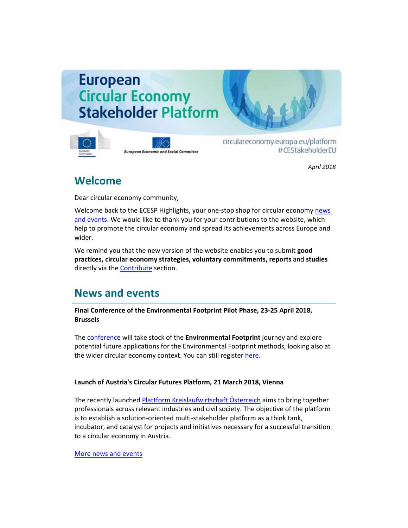# **European Circular Economy Stakeholder Platform**



**European Economic and Social Committee** 

circulareconomy.europa.eu/platform #CEStakeholderEU

*April 2018*

### **Welcome**

Dear circular economy community,

Welcome back to the ECESP Highlights, your one-stop shop for circular economy news [and events.](http://cdlink.eesc.europa.eu/l/673addce231d4d03bc4c9d18042c6abc/3CAD566/78B017BC/042018n) We would like to thank you for your contributions to the website, which help to promote the circular economy and spread its achievements across Europe and wider.

We remind you that the new version of the website enables you to submit **good practices, circular economy strategies, voluntary commitments, reports** and **studies**  directly via the [Contribute](http://cdlink.eesc.europa.eu/l/673addce231d4d03bc4c9d18042c6abc/3CAD566/77EE9388/042018n) section.

## **News and events**

**Final Conference of the Environmental Footprint Pilot Phase, 23-25 April 2018, Brussels** 

The [conference](http://cdlink.eesc.europa.eu/l/673addce231d4d03bc4c9d18042c6abc/3CAD566/6BD74371/042018n) will take stock of the **Environmental Footprint** journey and explore potential future applications for the Environmental Footprint methods, looking also at the wider circular economy context. You can still register [here.](http://cdlink.eesc.europa.eu/l/673addce231d4d03bc4c9d18042c6abc/3CAD566/5816957A/042018n)

#### **Launch of Austria's Circular Futures Platform, 21 March 2018, Vienna**

The recently launched [Plattform Kreislaufwirtschaft Österreich](http://cdlink.eesc.europa.eu/l/673addce231d4d03bc4c9d18042c6abc/3CAD566/91C2955B/042018n) aims to bring together professionals across relevant industries and civil society. The objective of the platform is to establish a solution-oriented multi-stakeholder platform as a think tank, incubator, and catalyst for projects and initiatives necessary for a successful transition to a circular economy in Austria.

[More news and events](http://cdlink.eesc.europa.eu/l/673addce231d4d03bc4c9d18042c6abc/3CAD566/C09BEFC7/042018n)